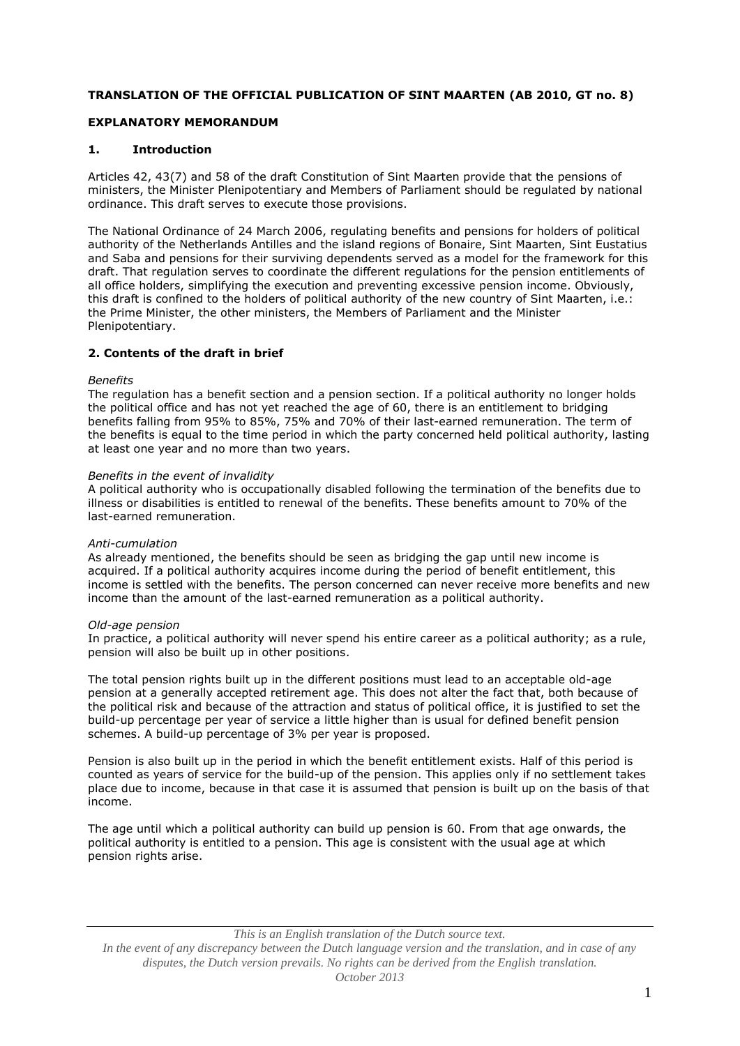# **TRANSLATION OF THE OFFICIAL PUBLICATION OF SINT MAARTEN (AB 2010, GT no. 8)**

# **EXPLANATORY MEMORANDUM**

## **1. Introduction**

Articles 42, 43(7) and 58 of the draft Constitution of Sint Maarten provide that the pensions of ministers, the Minister Plenipotentiary and Members of Parliament should be regulated by national ordinance. This draft serves to execute those provisions.

The National Ordinance of 24 March 2006, regulating benefits and pensions for holders of political authority of the Netherlands Antilles and the island regions of Bonaire, Sint Maarten, Sint Eustatius and Saba and pensions for their surviving dependents served as a model for the framework for this draft. That regulation serves to coordinate the different regulations for the pension entitlements of all office holders, simplifying the execution and preventing excessive pension income. Obviously, this draft is confined to the holders of political authority of the new country of Sint Maarten, i.e.: the Prime Minister, the other ministers, the Members of Parliament and the Minister Plenipotentiary.

# **2. Contents of the draft in brief**

#### *Benefits*

The regulation has a benefit section and a pension section. If a political authority no longer holds the political office and has not yet reached the age of 60, there is an entitlement to bridging benefits falling from 95% to 85%, 75% and 70% of their last-earned remuneration. The term of the benefits is equal to the time period in which the party concerned held political authority, lasting at least one year and no more than two years.

#### *Benefits in the event of invalidity*

A political authority who is occupationally disabled following the termination of the benefits due to illness or disabilities is entitled to renewal of the benefits. These benefits amount to 70% of the last-earned remuneration.

#### *Anti-cumulation*

As already mentioned, the benefits should be seen as bridging the gap until new income is acquired. If a political authority acquires income during the period of benefit entitlement, this income is settled with the benefits. The person concerned can never receive more benefits and new income than the amount of the last-earned remuneration as a political authority.

#### *Old-age pension*

In practice, a political authority will never spend his entire career as a political authority; as a rule, pension will also be built up in other positions.

The total pension rights built up in the different positions must lead to an acceptable old-age pension at a generally accepted retirement age. This does not alter the fact that, both because of the political risk and because of the attraction and status of political office, it is justified to set the build-up percentage per year of service a little higher than is usual for defined benefit pension schemes. A build-up percentage of 3% per year is proposed.

Pension is also built up in the period in which the benefit entitlement exists. Half of this period is counted as years of service for the build-up of the pension. This applies only if no settlement takes place due to income, because in that case it is assumed that pension is built up on the basis of that income.

The age until which a political authority can build up pension is 60. From that age onwards, the political authority is entitled to a pension. This age is consistent with the usual age at which pension rights arise.

### *This is an English translation of the Dutch source text.*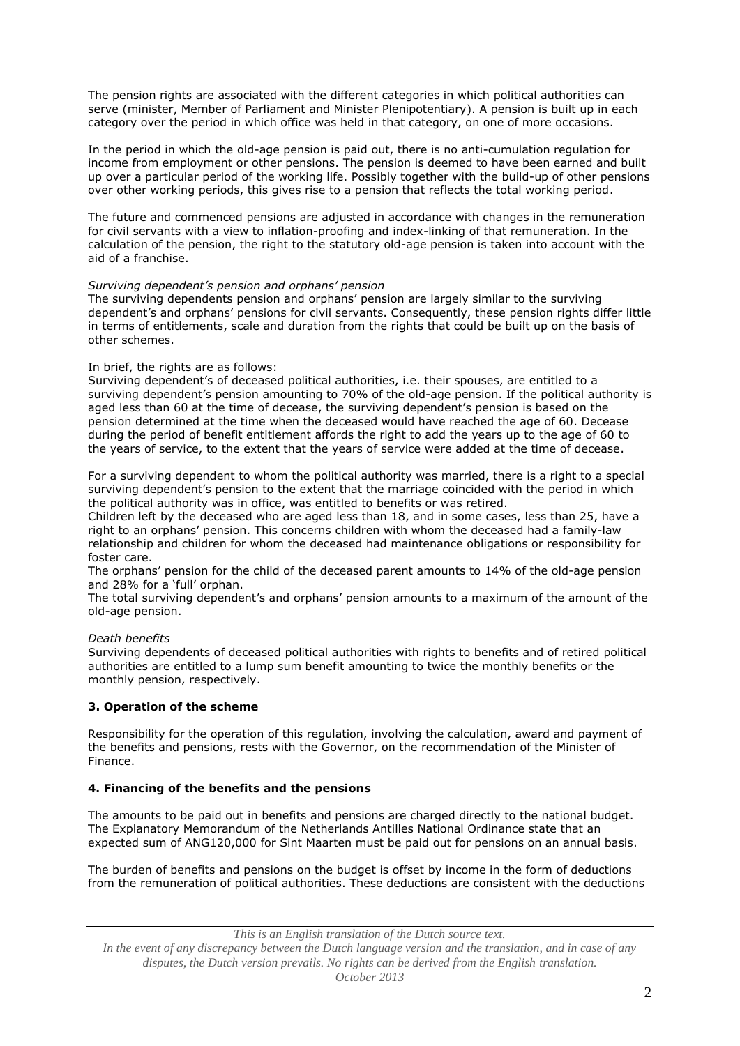The pension rights are associated with the different categories in which political authorities can serve (minister, Member of Parliament and Minister Plenipotentiary). A pension is built up in each category over the period in which office was held in that category, on one of more occasions.

In the period in which the old-age pension is paid out, there is no anti-cumulation regulation for income from employment or other pensions. The pension is deemed to have been earned and built up over a particular period of the working life. Possibly together with the build-up of other pensions over other working periods, this gives rise to a pension that reflects the total working period.

The future and commenced pensions are adjusted in accordance with changes in the remuneration for civil servants with a view to inflation-proofing and index-linking of that remuneration. In the calculation of the pension, the right to the statutory old-age pension is taken into account with the aid of a franchise.

# *Surviving dependent's pension and orphans' pension*

The surviving dependents pension and orphans' pension are largely similar to the surviving dependent's and orphans' pensions for civil servants. Consequently, these pension rights differ little in terms of entitlements, scale and duration from the rights that could be built up on the basis of other schemes.

# In brief, the rights are as follows:

Surviving dependent's of deceased political authorities, i.e. their spouses, are entitled to a surviving dependent's pension amounting to 70% of the old-age pension. If the political authority is aged less than 60 at the time of decease, the surviving dependent's pension is based on the pension determined at the time when the deceased would have reached the age of 60. Decease during the period of benefit entitlement affords the right to add the years up to the age of 60 to the years of service, to the extent that the years of service were added at the time of decease.

For a surviving dependent to whom the political authority was married, there is a right to a special surviving dependent's pension to the extent that the marriage coincided with the period in which the political authority was in office, was entitled to benefits or was retired.

Children left by the deceased who are aged less than 18, and in some cases, less than 25, have a right to an orphans' pension. This concerns children with whom the deceased had a family-law relationship and children for whom the deceased had maintenance obligations or responsibility for foster care.

The orphans' pension for the child of the deceased parent amounts to 14% of the old-age pension and 28% for a 'full' orphan.

The total surviving dependent's and orphans' pension amounts to a maximum of the amount of the old-age pension.

### *Death benefits*

Surviving dependents of deceased political authorities with rights to benefits and of retired political authorities are entitled to a lump sum benefit amounting to twice the monthly benefits or the monthly pension, respectively.

# **3. Operation of the scheme**

Responsibility for the operation of this regulation, involving the calculation, award and payment of the benefits and pensions, rests with the Governor, on the recommendation of the Minister of Finance.

# **4. Financing of the benefits and the pensions**

The amounts to be paid out in benefits and pensions are charged directly to the national budget. The Explanatory Memorandum of the Netherlands Antilles National Ordinance state that an expected sum of ANG120,000 for Sint Maarten must be paid out for pensions on an annual basis.

The burden of benefits and pensions on the budget is offset by income in the form of deductions from the remuneration of political authorities. These deductions are consistent with the deductions

*This is an English translation of the Dutch source text.*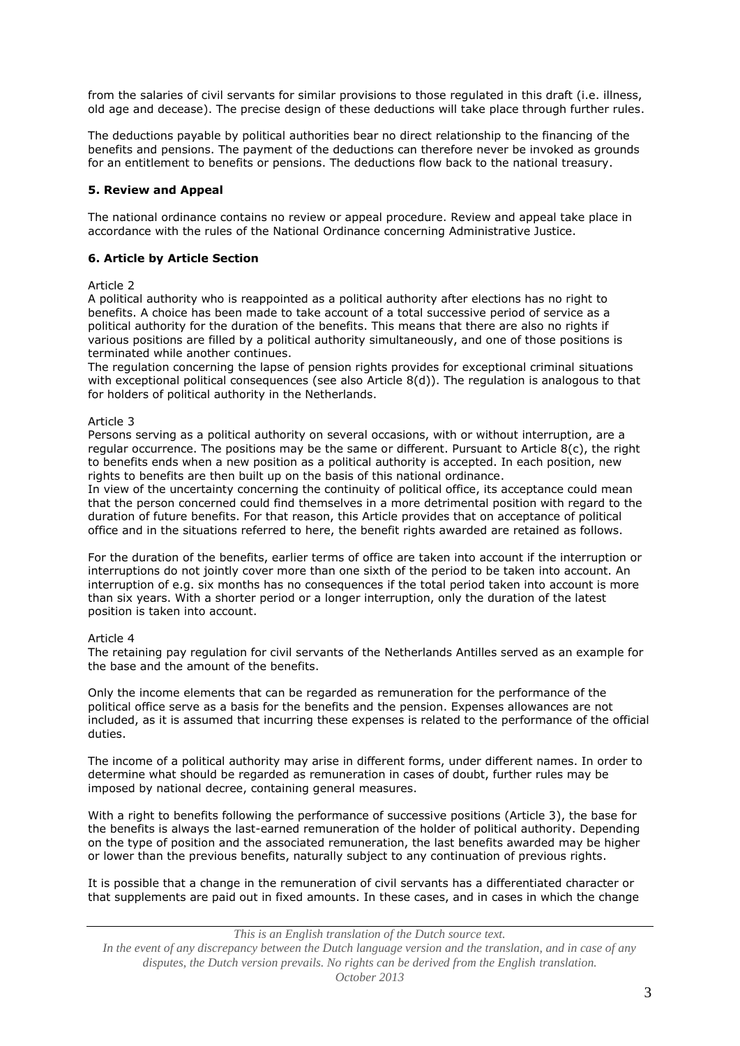from the salaries of civil servants for similar provisions to those regulated in this draft (i.e. illness, old age and decease). The precise design of these deductions will take place through further rules.

The deductions payable by political authorities bear no direct relationship to the financing of the benefits and pensions. The payment of the deductions can therefore never be invoked as grounds for an entitlement to benefits or pensions. The deductions flow back to the national treasury.

### **5. Review and Appeal**

The national ordinance contains no review or appeal procedure. Review and appeal take place in accordance with the rules of the National Ordinance concerning Administrative Justice.

## **6. Article by Article Section**

### Article 2

A political authority who is reappointed as a political authority after elections has no right to benefits. A choice has been made to take account of a total successive period of service as a political authority for the duration of the benefits. This means that there are also no rights if various positions are filled by a political authority simultaneously, and one of those positions is terminated while another continues.

The regulation concerning the lapse of pension rights provides for exceptional criminal situations with exceptional political consequences (see also Article  $8(d)$ ). The regulation is analogous to that for holders of political authority in the Netherlands.

#### Article 3

Persons serving as a political authority on several occasions, with or without interruption, are a regular occurrence. The positions may be the same or different. Pursuant to Article  $8(c)$ , the right to benefits ends when a new position as a political authority is accepted. In each position, new rights to benefits are then built up on the basis of this national ordinance.

In view of the uncertainty concerning the continuity of political office, its acceptance could mean that the person concerned could find themselves in a more detrimental position with regard to the duration of future benefits. For that reason, this Article provides that on acceptance of political office and in the situations referred to here, the benefit rights awarded are retained as follows.

For the duration of the benefits, earlier terms of office are taken into account if the interruption or interruptions do not jointly cover more than one sixth of the period to be taken into account. An interruption of e.g. six months has no consequences if the total period taken into account is more than six years. With a shorter period or a longer interruption, only the duration of the latest position is taken into account.

### Article 4

The retaining pay regulation for civil servants of the Netherlands Antilles served as an example for the base and the amount of the benefits.

Only the income elements that can be regarded as remuneration for the performance of the political office serve as a basis for the benefits and the pension. Expenses allowances are not included, as it is assumed that incurring these expenses is related to the performance of the official duties.

The income of a political authority may arise in different forms, under different names. In order to determine what should be regarded as remuneration in cases of doubt, further rules may be imposed by national decree, containing general measures.

With a right to benefits following the performance of successive positions (Article 3), the base for the benefits is always the last-earned remuneration of the holder of political authority. Depending on the type of position and the associated remuneration, the last benefits awarded may be higher or lower than the previous benefits, naturally subject to any continuation of previous rights.

It is possible that a change in the remuneration of civil servants has a differentiated character or that supplements are paid out in fixed amounts. In these cases, and in cases in which the change

*This is an English translation of the Dutch source text.*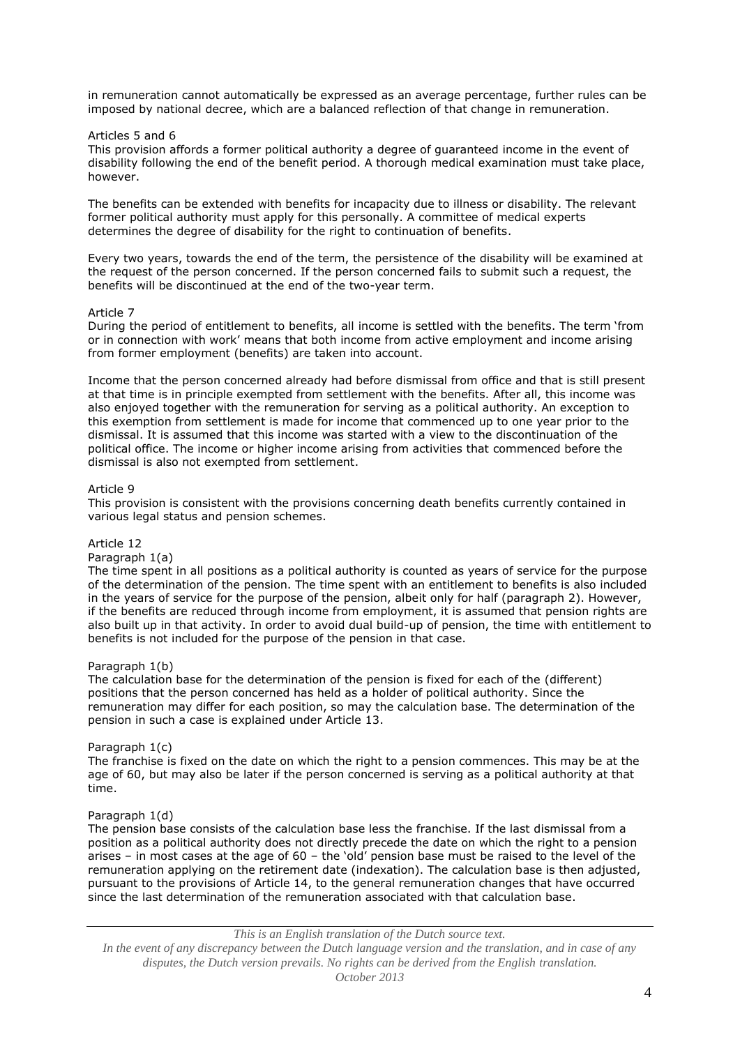in remuneration cannot automatically be expressed as an average percentage, further rules can be imposed by national decree, which are a balanced reflection of that change in remuneration.

### Articles 5 and 6

This provision affords a former political authority a degree of guaranteed income in the event of disability following the end of the benefit period. A thorough medical examination must take place, however.

The benefits can be extended with benefits for incapacity due to illness or disability. The relevant former political authority must apply for this personally. A committee of medical experts determines the degree of disability for the right to continuation of benefits.

Every two years, towards the end of the term, the persistence of the disability will be examined at the request of the person concerned. If the person concerned fails to submit such a request, the benefits will be discontinued at the end of the two-year term.

#### Article 7

During the period of entitlement to benefits, all income is settled with the benefits. The term 'from or in connection with work' means that both income from active employment and income arising from former employment (benefits) are taken into account.

Income that the person concerned already had before dismissal from office and that is still present at that time is in principle exempted from settlement with the benefits. After all, this income was also enjoyed together with the remuneration for serving as a political authority. An exception to this exemption from settlement is made for income that commenced up to one year prior to the dismissal. It is assumed that this income was started with a view to the discontinuation of the political office. The income or higher income arising from activities that commenced before the dismissal is also not exempted from settlement.

#### Article 9

This provision is consistent with the provisions concerning death benefits currently contained in various legal status and pension schemes.

### Article 12

Paragraph 1(a)

The time spent in all positions as a political authority is counted as years of service for the purpose of the determination of the pension. The time spent with an entitlement to benefits is also included in the years of service for the purpose of the pension, albeit only for half (paragraph 2). However, if the benefits are reduced through income from employment, it is assumed that pension rights are also built up in that activity. In order to avoid dual build-up of pension, the time with entitlement to benefits is not included for the purpose of the pension in that case.

#### Paragraph 1(b)

The calculation base for the determination of the pension is fixed for each of the (different) positions that the person concerned has held as a holder of political authority. Since the remuneration may differ for each position, so may the calculation base. The determination of the pension in such a case is explained under Article 13.

#### Paragraph 1(c)

The franchise is fixed on the date on which the right to a pension commences. This may be at the age of 60, but may also be later if the person concerned is serving as a political authority at that time.

### Paragraph 1(d)

The pension base consists of the calculation base less the franchise. If the last dismissal from a position as a political authority does not directly precede the date on which the right to a pension arises – in most cases at the age of 60 – the 'old' pension base must be raised to the level of the remuneration applying on the retirement date (indexation). The calculation base is then adjusted, pursuant to the provisions of Article 14, to the general remuneration changes that have occurred since the last determination of the remuneration associated with that calculation base.

*This is an English translation of the Dutch source text.*